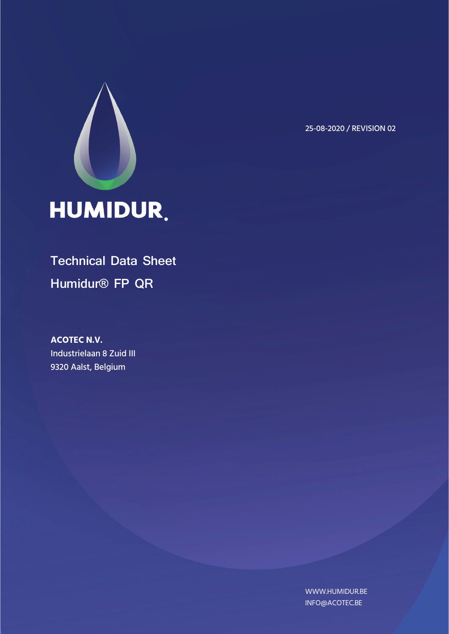

25-08-2020 / REVISION 02

# **Technical Data Sheet Humidur® FP QR**

**ACOTEC N.V.**  Industrielaan 8 Zuid III 9320 Aalst, Belgium

> WWW.HUMIDUR.BE INFO@ACOTEC.BE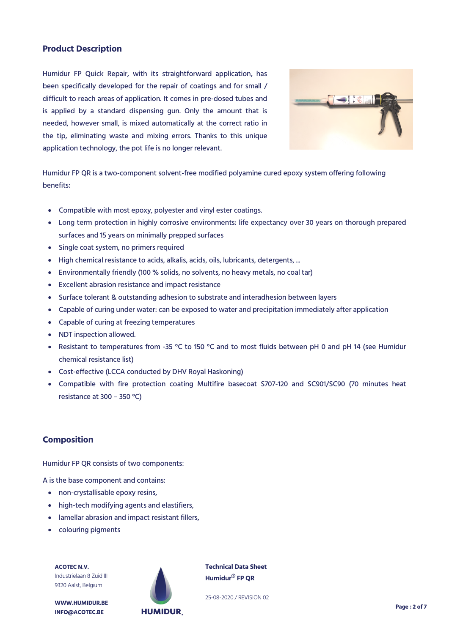## **Product Description**

Humidur FP Quick Repair, with its straightforward application, has been specifically developed for the repair of coatings and for small / difficult to reach areas of application. It comes in pre-dosed tubes and is applied by a standard dispensing gun. Only the amount that is needed, however small, is mixed automatically at the correct ratio in the tip, eliminating waste and mixing errors. Thanks to this unique application technology, the pot life is no longer relevant.



Humidur FP QR is a two-component solvent-free modified polyamine cured epoxy system offering following benefits:

- Compatible with most epoxy, polyester and vinyl ester coatings.
- Long term protection in highly corrosive environments: life expectancy over 30 years on thorough prepared surfaces and 15 years on minimally prepped surfaces
- Single coat system, no primers required
- High chemical resistance to acids, alkalis, acids, oils, lubricants, detergents, ...
- Environmentally friendly (100 % solids, no solvents, no heavy metals, no coal tar)
- Excellent abrasion resistance and impact resistance
- Surface tolerant & outstanding adhesion to substrate and interadhesion between layers
- Capable of curing under water: can be exposed to water and precipitation immediately after application
- Capable of curing at freezing temperatures
- NDT inspection allowed.
- Resistant to temperatures from -35 °C to 150 °C and to most fluids between pH 0 and pH 14 (see Humidur chemical resistance list)
- Cost-effective (LCCA conducted by DHV Royal Haskoning)
- Compatible with fire protection coating Multifire basecoat S707-120 and SC901/SC90 (70 minutes heat resistance at 300 – 350 °C)

#### **Composition**

Humidur FP QR consists of two components:

A is the base component and contains:

- non-crystallisable epoxy resins,
- high-tech modifying agents and elastifiers,
- lamellar abrasion and impact resistant fillers,
- colouring pigments

**ACOTEC N.V.** Industrielaan 8 Zuid III 9320 Aalst, Belgium



**WWW.HUMIDUR.BE INFO@ACOTEC.BE** 

**Technical Data Sheet Humidur® FP QR**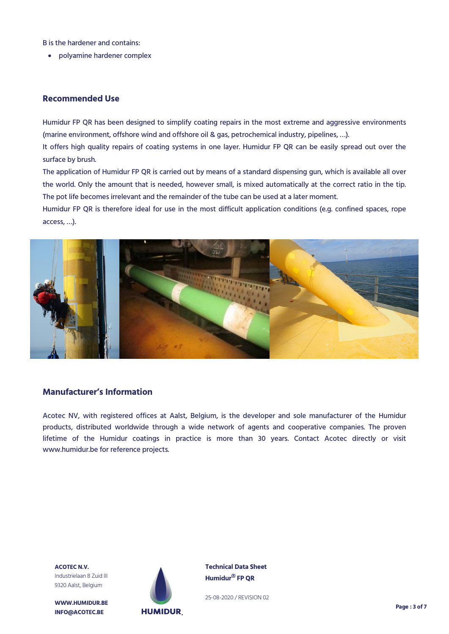B is the hardener and contains:

polyamine hardener complex

#### **Recommended Use**

Humidur FP QR has been designed to simplify coating repairs in the most extreme and aggressive environments (marine environment, offshore wind and offshore oil & gas, petrochemical industry, pipelines, …).

It offers high quality repairs of coating systems in one layer. Humidur FP QR can be easily spread out over the surface by brush.

The application of Humidur FP QR is carried out by means of a standard dispensing gun, which is available all over the world. Only the amount that is needed, however small, is mixed automatically at the correct ratio in the tip. The pot life becomes irrelevant and the remainder of the tube can be used at a later moment.

Humidur FP QR is therefore ideal for use in the most difficult application conditions (e.g. confined spaces, rope access, …).



## **Manufacturer's Information**

Acotec NV, with registered offices at Aalst, Belgium, is the developer and sole manufacturer of the Humidur products, distributed worldwide through a wide network of agents and cooperative companies. The proven lifetime of the Humidur coatings in practice is more than 30 years. Contact Acotec directly or visit www.humidur.be for reference projects.

**ACOTEC N.V.** Industrielaan 8 Zuid III 9320 Aalst, Belgium

**WWW.HUMIDUR.BE INFO@ACOTEC.BE** 



**Technical Data Sheet Humidur® FP QR**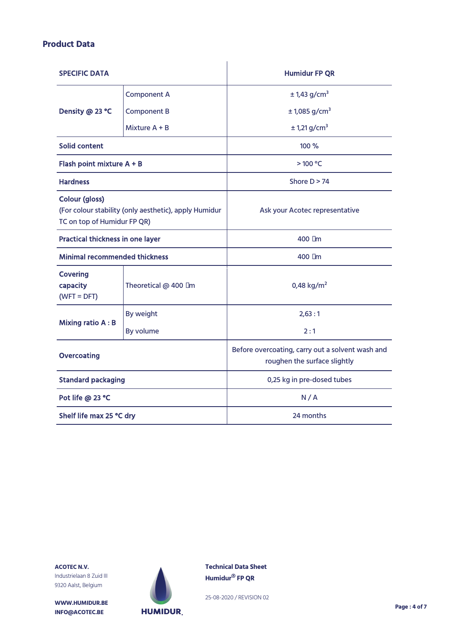# **Product Data**

| <b>SPECIFIC DATA</b>                                                                                          |                      | <b>Humidur FP QR</b>                                                             |  |  |
|---------------------------------------------------------------------------------------------------------------|----------------------|----------------------------------------------------------------------------------|--|--|
| Density @ 23 °C                                                                                               | <b>Component A</b>   | $± 1,43$ g/cm <sup>3</sup>                                                       |  |  |
|                                                                                                               | <b>Component B</b>   | $± 1,085$ g/cm <sup>3</sup>                                                      |  |  |
|                                                                                                               | Mixture $A + B$      | ± 1,21 g/cm <sup>3</sup>                                                         |  |  |
| Solid content                                                                                                 |                      | 100%                                                                             |  |  |
| Flash point mixture A + B                                                                                     |                      | >100 °C                                                                          |  |  |
| <b>Hardness</b>                                                                                               |                      | Shore $D > 74$                                                                   |  |  |
| <b>Colour (gloss)</b><br>(For colour stability (only aesthetic), apply Humidur<br>TC on top of Humidur FP QR) |                      | Ask your Acotec representative                                                   |  |  |
| <b>Practical thickness in one layer</b>                                                                       |                      | 400 µm                                                                           |  |  |
| <b>Minimal recommended thickness</b>                                                                          |                      | 400 µm                                                                           |  |  |
| <b>Covering</b><br>capacity<br>$(WFT = DFT)$                                                                  | Theoretical @ 400 µm | 0,48 $kg/m2$                                                                     |  |  |
| <b>Mixing ratio A: B</b>                                                                                      | By weight            | 2,63:1                                                                           |  |  |
|                                                                                                               | By volume            | 2:1                                                                              |  |  |
| <b>Overcoating</b>                                                                                            |                      | Before overcoating, carry out a solvent wash and<br>roughen the surface slightly |  |  |
| <b>Standard packaging</b>                                                                                     |                      | 0,25 kg in pre-dosed tubes                                                       |  |  |
| Pot life @ 23 °C                                                                                              |                      | N/A                                                                              |  |  |
| Shelf life max 25 °C dry                                                                                      |                      | 24 months                                                                        |  |  |

**ACOTEC N.V.** Industrielaan 8 Zuid III 9320 Aalst, Belgium

**WWW.HUMIDUR.BE INFO@ACOTEC.BE** 



**Technical Data Sheet Humidur® FP QR**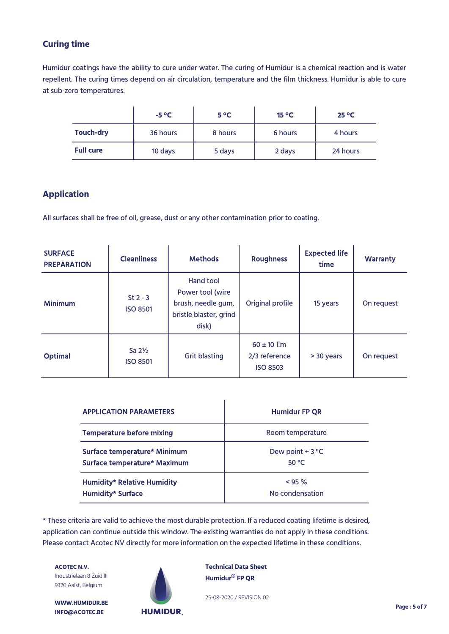# **Curing time**

Humidur coatings have the ability to cure under water. The curing of Humidur is a chemical reaction and is water repellent. The curing times depend on air circulation, temperature and the film thickness. Humidur is able to cure at sub-zero temperatures.

|                  | $-5^{\circ}C$ | $5^{\circ}C$ | $15^{\circ}$ C | $25^{\circ}$ C |
|------------------|---------------|--------------|----------------|----------------|
| <b>Touch-dry</b> | 36 hours      | 8 hours      | 6 hours        | 4 hours        |
| <b>Full cure</b> | 10 days       | 5 days       | 2 days         | 24 hours       |

# **Application**

All surfaces shall be free of oil, grease, dust or any other contamination prior to coating.

| <b>SURFACE</b><br><b>PREPARATION</b> | <b>Cleanliness</b>                   | <b>Methods</b>                                                                         | <b>Roughness</b>                                   | <b>Expected life</b><br>time | <b>Warranty</b> |
|--------------------------------------|--------------------------------------|----------------------------------------------------------------------------------------|----------------------------------------------------|------------------------------|-----------------|
| <b>Minimum</b>                       | $St 2 - 3$<br><b>ISO 8501</b>        | Hand tool<br>Power tool (wire<br>brush, needle gum,<br>bristle blaster, grind<br>disk) | Original profile                                   | 15 years                     | On request      |
| <b>Optimal</b>                       | Sa $2\frac{1}{2}$<br><b>ISO 8501</b> | <b>Grit blasting</b>                                                                   | $60 \pm 10$ µm<br>2/3 reference<br><b>ISO 8503</b> | > 30 years                   | On request      |

| <b>APPLICATION PARAMETERS</b>      | <b>Humidur FP QR</b> |  |  |
|------------------------------------|----------------------|--|--|
| <b>Temperature before mixing</b>   | Room temperature     |  |  |
| Surface temperature* Minimum       | Dew point $+3$ °C    |  |  |
| Surface temperature* Maximum       | 50 °C                |  |  |
| <b>Humidity* Relative Humidity</b> | $< 95 \%$            |  |  |
| <b>Humidity* Surface</b>           | No condensation      |  |  |

\* These criteria are valid to achieve the most durable protection. If a reduced coating lifetime is desired, application can continue outside this window. The existing warranties do not apply in these conditions. Please contact Acotec NV directly for more information on the expected lifetime in these conditions.

**ACOTEC N.V.** Industrielaan 8 Zuid III 9320 Aalst, Belgium



**WWW.HUMIDUR.BE INFO@ACOTEC.BE** 

**Technical Data Sheet Humidur® FP QR**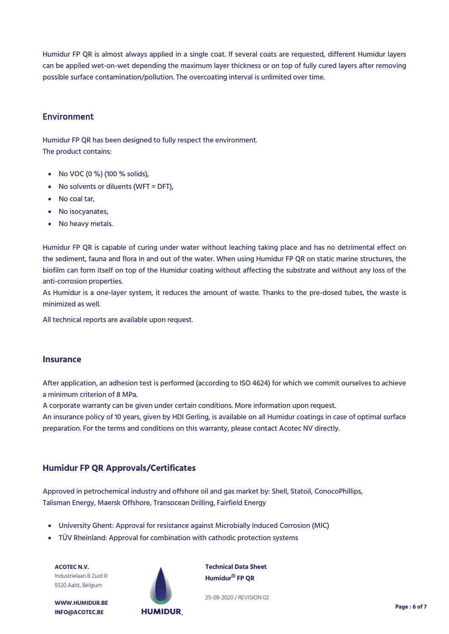Humidur FP QR is almost always applied in a single coat. If several coats are requested, different Humidur layers can be applied wet-on-wet depending the maximum layer thickness or on top of fully cured layers after removing possible surface contamination/pollution. The overcoating interval is unlimited over time.

### Environment

Humidur FP QR has been designed to fully respect the environment. The product contains:

- No VOC (0 %) (100 % solids),
- No solvents or diluents (WFT = DFT),
- No coal tar,
- No isocyanates.
- No heavy metals.

Humidur FP QR is capable of curing under water without leaching taking place and has no detrimental effect on the sediment, fauna and flora in and out of the water. When using Humidur FP QR on static marine structures, the biofilm can form itself on top of the Humidur coating without affecting the substrate and without any loss of the anti-corrosion properties.

As Humidur is a one-layer system, it reduces the amount of waste. Thanks to the pre-dosed tubes, the waste is minimized as well.

All technical reports are available upon request.

#### **Insurance**

After application, an adhesion test is performed (according to ISO 4624) for which we commit ourselves to achieve a minimum criterion of 8 MPa.

A corporate warranty can be given under certain conditions. More information upon request.

An insurance policy of 10 years, given by HDI Gerling, is available on all Humidur coatings in case of optimal surface preparation. For the terms and conditions on this warranty, please contact Acotec NV directly.

#### **Humidur FP QR Approvals/Certificates**

Approved in petrochemical industry and offshore oil and gas market by: Shell, Statoil, ConocoPhillips, Talisman Energy, Maersk Offshore, Transocean Drilling, Fairfield Energy

- University Ghent: Approval for resistance against Microbially Induced Corrosion (MIC)
- TÜV Rheinland: Approval for combination with cathodic protection systems

**ACOTEC N.V.** Industrielaan 8 Zuid III 9320 Aalst, Belgium



**Technical Data Sheet Humidur® FP QR**